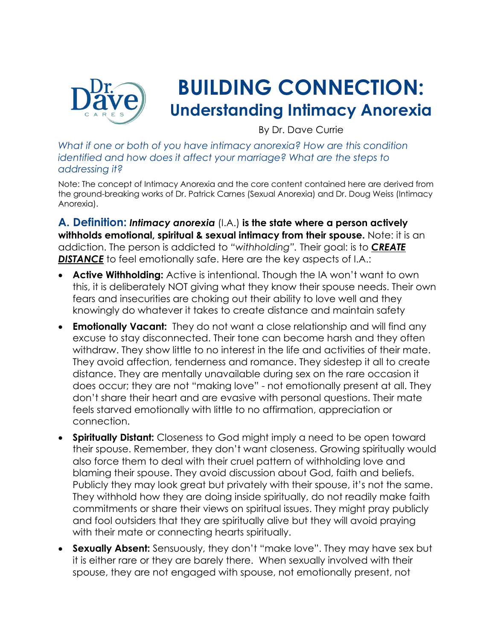

# **BUILDING CONNECTION: Understanding Intimacy Anorexia**

By Dr. Dave Currie

*What if one or both of you have intimacy anorexia? How are this condition identified and how does it affect your marriage? What are the steps to addressing it?*

Note: The concept of Intimacy Anorexia and the core content contained here are derived from the ground-breaking works of Dr. Patrick Carnes (Sexual Anorexia) and Dr. Doug Weiss (Intimacy Anorexia).

**A. Definition:** *Intimacy anorexia* (I.A.) **is the state where a person actively withholds emotional, spiritual & sexual intimacy from their spouse.** Note: it is an addiction. The person is addicted to *"withholding".* Their goal: is to *CREATE*  **DISTANCE** to feel emotionally safe. Here are the key aspects of I.A.:

- **Active Withholding:** Active is intentional. Though the IA won't want to own this, it is deliberately NOT giving what they know their spouse needs. Their own fears and insecurities are choking out their ability to love well and they knowingly do whatever it takes to create distance and maintain safety
- **Emotionally Vacant:** They do not want a close relationship and will find any excuse to stay disconnected. Their tone can become harsh and they often withdraw. They show little to no interest in the life and activities of their mate. They avoid affection, tenderness and romance. They sidestep it all to create distance. They are mentally unavailable during sex on the rare occasion it does occur; they are not "making love" - not emotionally present at all. They don't share their heart and are evasive with personal questions. Their mate feels starved emotionally with little to no affirmation, appreciation or connection.
- **Spiritually Distant:** Closeness to God might imply a need to be open toward their spouse. Remember, they don't want closeness. Growing spiritually would also force them to deal with their cruel pattern of withholding love and blaming their spouse. They avoid discussion about God, faith and beliefs. Publicly they may look great but privately with their spouse, it's not the same. They withhold how they are doing inside spiritually, do not readily make faith commitments or share their views on spiritual issues. They might pray publicly and fool outsiders that they are spiritually alive but they will avoid praying with their mate or connecting hearts spiritually.
- **Sexually Absent:** Sensuously, they don't "make love". They may have sex but it is either rare or they are barely there. When sexually involved with their spouse, they are not engaged with spouse, not emotionally present, not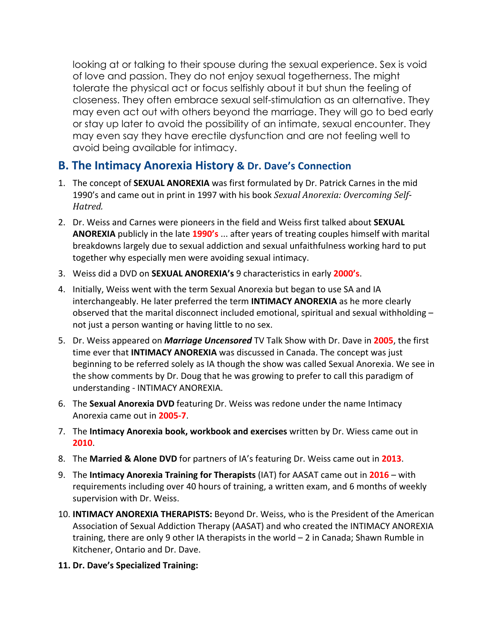looking at or talking to their spouse during the sexual experience. Sex is void of love and passion. They do not enjoy sexual togetherness. The might tolerate the physical act or focus selfishly about it but shun the feeling of closeness. They often embrace sexual self-stimulation as an alternative. They may even act out with others beyond the marriage. They will go to bed early or stay up later to avoid the possibility of an intimate, sexual encounter. They may even say they have erectile dysfunction and are not feeling well to avoid being available for intimacy.

#### **B. The Intimacy Anorexia History & Dr. Dave's Connection**

- 1. The concept of **SEXUAL ANOREXIA** was first formulated by Dr. Patrick Carnes in the mid 1990's and came out in print in 1997 with his book Sexual Anorexia: Overcoming Self-*Hatred.*
- 2. Dr. Weiss and Carnes were pioneers in the field and Weiss first talked about **SEXUAL ANOREXIA** publicly in the late **1990's** ... after years of treating couples himself with marital breakdowns largely due to sexual addiction and sexual unfaithfulness working hard to put together why especially men were avoiding sexual intimacy.
- 3. Weiss did a DVD on **SEXUAL ANOREXIA's** 9 characteristics in early **2000's**.
- 4. Initially, Weiss went with the term Sexual Anorexia but began to use SA and IA interchangeably. He later preferred the term **INTIMACY ANOREXIA** as he more clearly observed that the marital disconnect included emotional, spiritual and sexual withholding – not just a person wanting or having little to no sex.
- 5. Dr. Weiss appeared on *Marriage Uncensored* TV Talk Show with Dr. Dave in **2005**, the first time ever that **INTIMACY ANOREXIA** was discussed in Canada. The concept was just beginning to be referred solely as IA though the show was called Sexual Anorexia. We see in the show comments by Dr. Doug that he was growing to prefer to call this paradigm of understanding - INTIMACY ANOREXIA.
- 6. The **Sexual Anorexia DVD** featuring Dr. Weiss was redone under the name Intimacy Anorexia came out in **2005-7**.
- 7. The **Intimacy Anorexia book, workbook and exercises** written by Dr. Wiess came out in **2010**.
- 8. The **Married & Alone DVD** for partners of IA's featuring Dr. Weiss came out in **2013**.
- 9. The **Intimacy Anorexia Training for Therapists** (IAT) for AASAT came out in **2016**  with requirements including over 40 hours of training, a written exam, and 6 months of weekly supervision with Dr. Weiss.
- 10. **INTIMACY ANOREXIA THERAPISTS:** Beyond Dr. Weiss, who is the President of the American Association of Sexual Addiction Therapy (AASAT) and who created the INTIMACY ANOREXIA training, there are only 9 other IA therapists in the world – 2 in Canada; Shawn Rumble in Kitchener, Ontario and Dr. Dave.
- **11. Dr. Dave's Specialized Training:**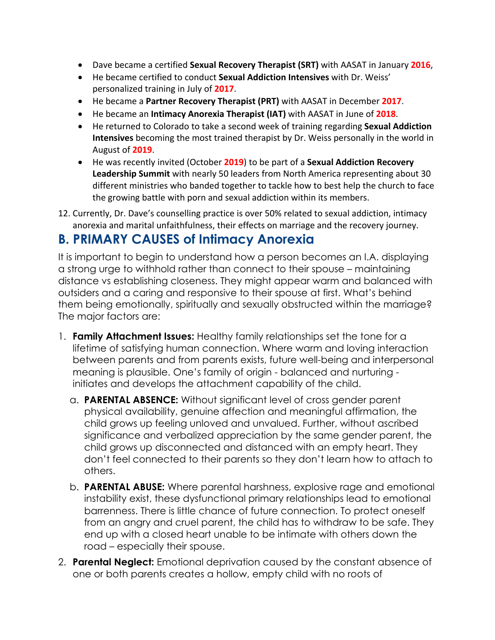- Dave became a certified **Sexual Recovery Therapist (SRT)** with AASAT in January **2016**,
- He became certified to conduct **Sexual Addiction Intensives** with Dr. Weiss' personalized training in July of **2017**.
- He became a **Partner Recovery Therapist (PRT)** with AASAT in December **2017**.
- He became an **Intimacy Anorexia Therapist (IAT)** with AASAT in June of **2018**.
- He returned to Colorado to take a second week of training regarding **Sexual Addiction Intensives** becoming the most trained therapist by Dr. Weiss personally in the world in August of **2019**.
- He was recently invited (October **2019**) to be part of a **Sexual Addiction Recovery Leadership Summit** with nearly 50 leaders from North America representing about 30 different ministries who banded together to tackle how to best help the church to face the growing battle with porn and sexual addiction within its members.
- 12. Currently, Dr. Dave's counselling practice is over 50% related to sexual addiction, intimacy anorexia and marital unfaithfulness, their effects on marriage and the recovery journey.

## **B. PRIMARY CAUSES of Intimacy Anorexia**

It is important to begin to understand how a person becomes an I.A. displaying a strong urge to withhold rather than connect to their spouse – maintaining distance vs establishing closeness. They might appear warm and balanced with outsiders and a caring and responsive to their spouse at first. What's behind them being emotionally, spiritually and sexually obstructed within the marriage? The major factors are:

- 1. **Family Attachment Issues:** Healthy family relationships set the tone for a lifetime of satisfying human connection. Where warm and loving interaction between parents and from parents exists, future well-being and interpersonal meaning is plausible. One's family of origin - balanced and nurturing initiates and develops the attachment capability of the child.
	- a. **PARENTAL ABSENCE:** Without significant level of cross gender parent physical availability, genuine affection and meaningful affirmation, the child grows up feeling unloved and unvalued. Further, without ascribed significance and verbalized appreciation by the same gender parent, the child grows up disconnected and distanced with an empty heart. They don't feel connected to their parents so they don't learn how to attach to others.
	- b. **PARENTAL ABUSE:** Where parental harshness, explosive rage and emotional instability exist, these dysfunctional primary relationships lead to emotional barrenness. There is little chance of future connection. To protect oneself from an angry and cruel parent, the child has to withdraw to be safe. They end up with a closed heart unable to be intimate with others down the road – especially their spouse.
- 2. **Parental Neglect:** Emotional deprivation caused by the constant absence of one or both parents creates a hollow, empty child with no roots of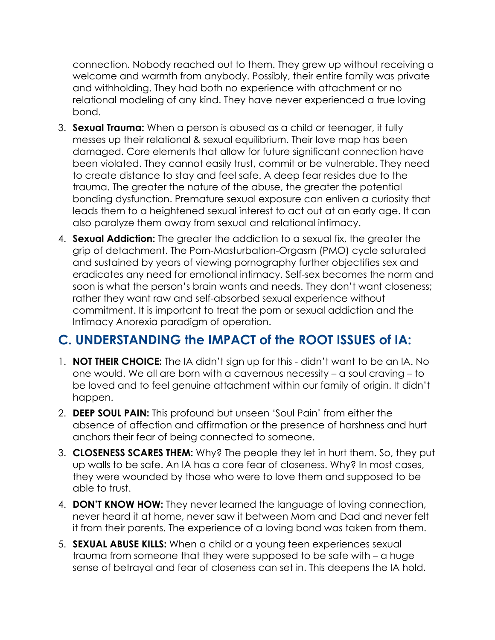connection. Nobody reached out to them. They grew up without receiving a welcome and warmth from anybody. Possibly, their entire family was private and withholding. They had both no experience with attachment or no relational modeling of any kind. They have never experienced a true loving bond.

- 3. **Sexual Trauma:** When a person is abused as a child or teenager, it fully messes up their relational & sexual equilibrium. Their love map has been damaged. Core elements that allow for future significant connection have been violated. They cannot easily trust, commit or be vulnerable. They need to create distance to stay and feel safe. A deep fear resides due to the trauma. The greater the nature of the abuse, the greater the potential bonding dysfunction. Premature sexual exposure can enliven a curiosity that leads them to a heightened sexual interest to act out at an early age. It can also paralyze them away from sexual and relational intimacy.
- 4. **Sexual Addiction:** The greater the addiction to a sexual fix, the greater the grip of detachment. The Porn-Masturbation-Orgasm (PMO) cycle saturated and sustained by years of viewing pornography further objectifies sex and eradicates any need for emotional intimacy. Self-sex becomes the norm and soon is what the person's brain wants and needs. They don't want closeness; rather they want raw and self-absorbed sexual experience without commitment. It is important to treat the porn or sexual addiction and the Intimacy Anorexia paradigm of operation.

# **C. UNDERSTANDING the IMPACT of the ROOT ISSUES of IA:**

- 1. **NOT THEIR CHOICE:** The IA didn't sign up for this didn't want to be an IA. No one would. We all are born with a cavernous necessity – a soul craving – to be loved and to feel genuine attachment within our family of origin. It didn't happen.
- 2. **DEEP SOUL PAIN:** This profound but unseen 'Soul Pain' from either the absence of affection and affirmation or the presence of harshness and hurt anchors their fear of being connected to someone.
- 3. **CLOSENESS SCARES THEM:** Why? The people they let in hurt them. So, they put up walls to be safe. An IA has a core fear of closeness. Why? In most cases, they were wounded by those who were to love them and supposed to be able to trust.
- 4. **DON'T KNOW HOW:** They never learned the language of loving connection, never heard it at home, never saw it between Mom and Dad and never felt it from their parents. The experience of a loving bond was taken from them.
- 5. **SEXUAL ABUSE KILLS:** When a child or a young teen experiences sexual trauma from someone that they were supposed to be safe with – a huge sense of betrayal and fear of closeness can set in. This deepens the IA hold.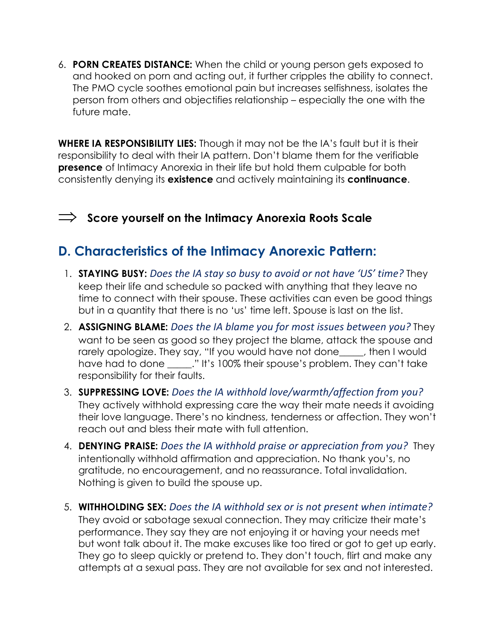6. **PORN CREATES DISTANCE:** When the child or young person gets exposed to and hooked on porn and acting out, it further cripples the ability to connect. The PMO cycle soothes emotional pain but increases selfishness, isolates the person from others and objectifies relationship – especially the one with the future mate.

**WHERE IA RESPONSIBILITY LIES:** Though it may not be the IA's fault but it is their responsibility to deal with their IA pattern. Don't blame them for the verifiable **presence** of Intimacy Anorexia in their life but hold them culpable for both consistently denying its **existence** and actively maintaining its **continuance**.

#### Þ **Score yourself on the Intimacy Anorexia Roots Scale**

## **D. Characteristics of the Intimacy Anorexic Pattern:**

- 1. **STAYING BUSY:** *Does the IA stay so busy to avoid or not have 'US' time?* They keep their life and schedule so packed with anything that they leave no time to connect with their spouse. These activities can even be good things but in a quantity that there is no 'us' time left. Spouse is last on the list.
- 2. **ASSIGNING BLAME:** *Does the IA blame you for most issues between you?* They want to be seen as good so they project the blame, attack the spouse and rarely apologize. They say, "If you would have not done\_\_\_\_\_, then I would have had to done \_\_\_\_\_." It's 100% their spouse's problem. They can't take responsibility for their faults.
- 3. **SUPPRESSING LOVE:** *Does the IA withhold love/warmth/affection from you?* They actively withhold expressing care the way their mate needs it avoiding their love language. There's no kindness, tenderness or affection. They won't reach out and bless their mate with full attention.
- 4. **DENYING PRAISE:** *Does the IA withhold praise or appreciation from you?* They intentionally withhold affirmation and appreciation. No thank you's, no gratitude, no encouragement, and no reassurance. Total invalidation. Nothing is given to build the spouse up.
- 5. **WITHHOLDING SEX:** *Does the IA withhold sex or is not present when intimate?* They avoid or sabotage sexual connection. They may criticize their mate's performance. They say they are not enjoying it or having your needs met but wont talk about it. The make excuses like too tired or got to get up early. They go to sleep quickly or pretend to. They don't touch, flirt and make any attempts at a sexual pass. They are not available for sex and not interested.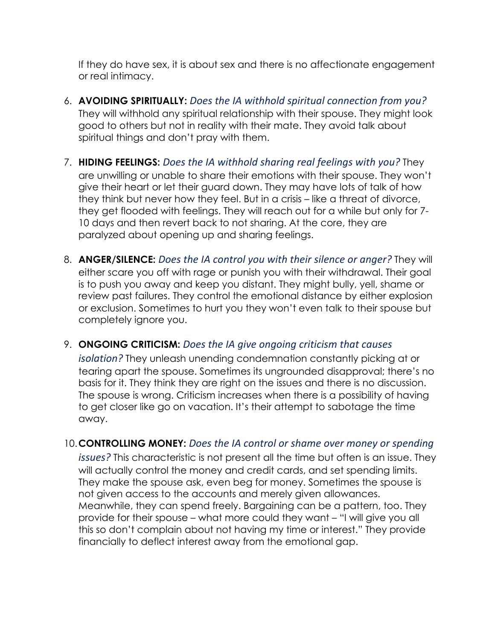If they do have sex, it is about sex and there is no affectionate engagement or real intimacy.

- 6. **AVOIDING SPIRITUALLY:** *Does the IA withhold spiritual connection from you?* They will withhold any spiritual relationship with their spouse. They might look good to others but not in reality with their mate. They avoid talk about spiritual things and don't pray with them.
- 7. **HIDING FEELINGS:** *Does the IA withhold sharing real feelings with you?* They are unwilling or unable to share their emotions with their spouse. They won't give their heart or let their guard down. They may have lots of talk of how they think but never how they feel. But in a crisis – like a threat of divorce, they get flooded with feelings. They will reach out for a while but only for 7- 10 days and then revert back to not sharing. At the core, they are paralyzed about opening up and sharing feelings.
- 8. **ANGER/SILENCE:** *Does the IA control you with their silence or anger?* They will either scare you off with rage or punish you with their withdrawal. Their goal is to push you away and keep you distant. They might bully, yell, shame or review past failures. They control the emotional distance by either explosion or exclusion. Sometimes to hurt you they won't even talk to their spouse but completely ignore you.
- 9. **ONGOING CRITICISM:** *Does the IA give ongoing criticism that causes*

*isolation?* They unleash unending condemnation constantly picking at or tearing apart the spouse. Sometimes its ungrounded disapproval; there's no basis for it. They think they are right on the issues and there is no discussion. The spouse is wrong. Criticism increases when there is a possibility of having to get closer like go on vacation. It's their attempt to sabotage the time away.

10.**CONTROLLING MONEY:** *Does the IA control or shame over money or spending* 

*issues?* This characteristic is not present all the time but often is an issue. They will actually control the money and credit cards, and set spending limits. They make the spouse ask, even beg for money. Sometimes the spouse is not given access to the accounts and merely given allowances. Meanwhile, they can spend freely. Bargaining can be a pattern, too. They provide for their spouse – what more could they want – "I will give you all this so don't complain about not having my time or interest." They provide financially to deflect interest away from the emotional gap.